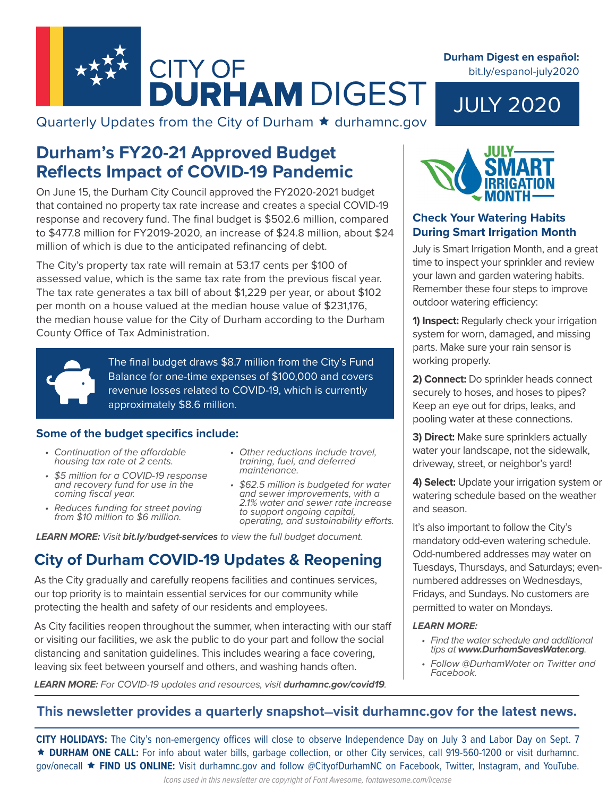

Quarterly Updates from the City of Durham  $\star$  durhamnc.gov

## **Durham's FY20-21 Approved Budget Reflects Impact of COVID-19 Pandemic**

On June 15, the Durham City Council approved the FY2020-2021 budget that contained no property tax rate increase and creates a special COVID-19 response and recovery fund. The final budget is \$502.6 million, compared to \$477.8 million for FY2019-2020, an increase of \$24.8 million, about \$24 million of which is due to the anticipated refinancing of debt.

The City's property tax rate will remain at 53.17 cents per \$100 of assessed value, which is the same tax rate from the previous fiscal year. The tax rate generates a tax bill of about \$1,229 per year, or about \$102 per month on a house valued at the median house value of \$231,176, the median house value for the City of Durham according to the Durham County Office of Tax Administration.



The final budget draws \$8.7 million from the City's Fund Balance for one-time expenses of \$100,000 and covers revenue losses related to COVID-19, which is currently approximately \$8.6 million.

#### **Some of the budget specifics include:**

- *• Continuation of the affordable housing tax rate at 2 cents.*
- *• \$5 million for a COVID-19 response and recovery fund for use in the coming fiscal year.*
- *• Reduces funding for street paving from \$10 million to \$6 million.*
- *• Other reductions include travel, training, fuel, and deferred maintenance.*
- *• \$62.5 million is budgeted for water and sewer improvements, with a 2.1% water and sewer rate increase to support ongoing capital, operating, and sustainability efforts.*

*LEARN MORE: Visit bit.ly/budget-services to view the full budget document.*

# **City of Durham COVID-19 Updates & Reopening**

As the City gradually and carefully reopens facilities and continues services, our top priority is to maintain essential services for our community while protecting the health and safety of our residents and employees.

As City facilities reopen throughout the summer, when interacting with our staff or visiting our facilities, we ask the public to do your part and follow the social distancing and sanitation guidelines. This includes wearing a face covering, leaving six feet between yourself and others, and washing hands often.

LEARN MORE: For COVID-19 updates and resources, visit *durhamnc.gov/covid19*.



### **Check Your Watering Habits During Smart Irrigation Month**

July is Smart Irrigation Month, and a great time to inspect your sprinkler and review your lawn and garden watering habits. Remember these four steps to improve outdoor watering efficiency:

**1) Inspect:** Regularly check your irrigation system for worn, damaged, and missing parts. Make sure your rain sensor is working properly.

**2) Connect:** Do sprinkler heads connect securely to hoses, and hoses to pipes? Keep an eye out for drips, leaks, and pooling water at these connections.

**3) Direct:** Make sure sprinklers actually water your landscape, not the sidewalk, driveway, street, or neighbor's yard!

**4) Select:** Update your irrigation system or watering schedule based on the weather and season.

It's also important to follow the City's mandatory odd-even watering schedule. Odd-numbered addresses may water on Tuesdays, Thursdays, and Saturdays; evennumbered addresses on Wednesdays, Fridays, and Sundays. No customers are permitted to water on Mondays.

#### *LEARN MORE:*

- *• Find the water schedule and additional tips at www.DurhamSavesWater.org.*
- *• Follow @DurhamWater on Twitter and Facebook.*

### **This newsletter provides a quarterly snapshot—visit durhamnc.gov for the latest news.**

**CITY HOLIDAYS:** The City's non-emergency offices will close to observe Independence Day on July 3 and Labor Day on Sept. 7 **DURHAM ONE CALL:** For info about water bills, garbage collection, or other City services, call 919-560-1200 or visit durhamnc. gov/onecall **FIND US ONLINE:** Visit durhamnc.gov and follow @CityofDurhamNC on Facebook, Twitter, Instagram, and YouTube.

# bit.ly/espanol-july2020

**Durham Digest en español:** 

JULY 2020